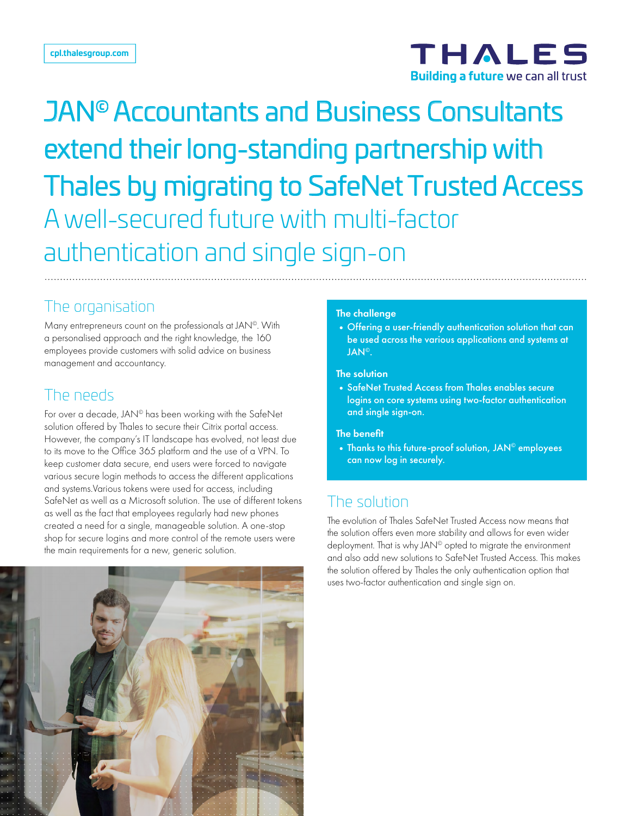

# JAN© Accountants and Business Consultants extend their long-standing partnership with Thales by migrating to SafeNet Trusted Access A well-secured future with multi-factor authentication and single sign-on

## The organisation

Many entrepreneurs count on the professionals at JAN©. With a personalised approach and the right knowledge, the 160 employees provide customers with solid advice on business management and accountancy.

## The needs

For over a decade, JAN<sup>®</sup> has been working with the SafeNet solution offered by Thales to secure their Citrix portal access. However, the company's IT landscape has evolved, not least due to its move to the Office 365 platform and the use of a VPN. To keep customer data secure, end users were forced to navigate various secure login methods to access the different applications and systems.Various tokens were used for access, including SafeNet as well as a Microsoft solution. The use of different tokens as well as the fact that employees regularly had new phones created a need for a single, manageable solution. A one-stop shop for secure logins and more control of the remote users were the main requirements for a new, generic solution.



#### The challenge

•Offering a user-friendly authentication solution that can be used across the various applications and systems at JAN©.

#### The solution

•SafeNet Trusted Access from Thales enables secure logins on core systems using two-factor authentication and single sign-on.

#### The benefit

• Thanks to this future-proof solution, JAN<sup>©</sup> employees can now log in securely.

## The solution

The evolution of Thales SafeNet Trusted Access now means that the solution offers even more stability and allows for even wider deployment. That is why JAN<sup>©</sup> opted to migrate the environment and also add new solutions to SafeNet Trusted Access. This makes the solution offered by Thales the only authentication option that uses two-factor authentication and single sign on.